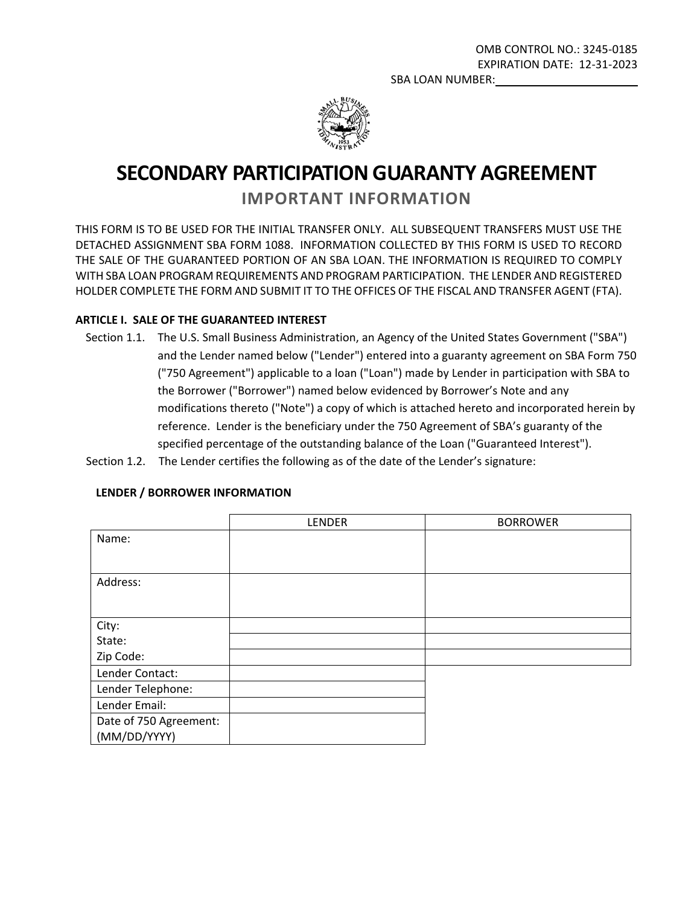

# **SECONDARY PARTICIPATION GUARANTY AGREEMENT**

# **IMPORTANT INFORMATION**

THIS FORM IS TO BE USED FOR THE INITIAL TRANSFER ONLY. ALL SUBSEQUENT TRANSFERS MUST USE THE DETACHED ASSIGNMENT SBA FORM 1088. INFORMATION COLLECTED BY THIS FORM IS USED TO RECORD THE SALE OF THE GUARANTEED PORTION OF AN SBA LOAN. THE INFORMATION IS REQUIRED TO COMPLY WITH SBA LOAN PROGRAM REQUIREMENTS AND PROGRAM PARTICIPATION. THE LENDER AND REGISTERED HOLDER COMPLETE THE FORM AND SUBMIT IT TO THE OFFICES OF THE FISCAL AND TRANSFER AGENT (FTA).

# **ARTICLE I. SALE OF THE GUARANTEED INTEREST**

- Section 1.1. The U.S. Small Business Administration, an Agency of the United States Government ("SBA") and the Lender named below ("Lender") entered into a guaranty agreement on SBA Form 750 ("750 Agreement") applicable to a loan ("Loan") made by Lender in participation with SBA to the Borrower ("Borrower") named below evidenced by Borrower's Note and any modifications thereto ("Note") a copy of which is attached hereto and incorporated herein by reference. Lender is the beneficiary under the 750 Agreement of SBA's guaranty of the specified percentage of the outstanding balance of the Loan ("Guaranteed Interest").
- Section 1.2. The Lender certifies the following as of the date of the Lender's signature:

|                        | LENDER | <b>BORROWER</b> |
|------------------------|--------|-----------------|
| Name:                  |        |                 |
|                        |        |                 |
| Address:               |        |                 |
|                        |        |                 |
| City:                  |        |                 |
| State:                 |        |                 |
| Zip Code:              |        |                 |
| Lender Contact:        |        |                 |
| Lender Telephone:      |        |                 |
| Lender Email:          |        |                 |
| Date of 750 Agreement: |        |                 |
| (MM/DD/YYYY)           |        |                 |

#### **LENDER / BORROWER INFORMATION**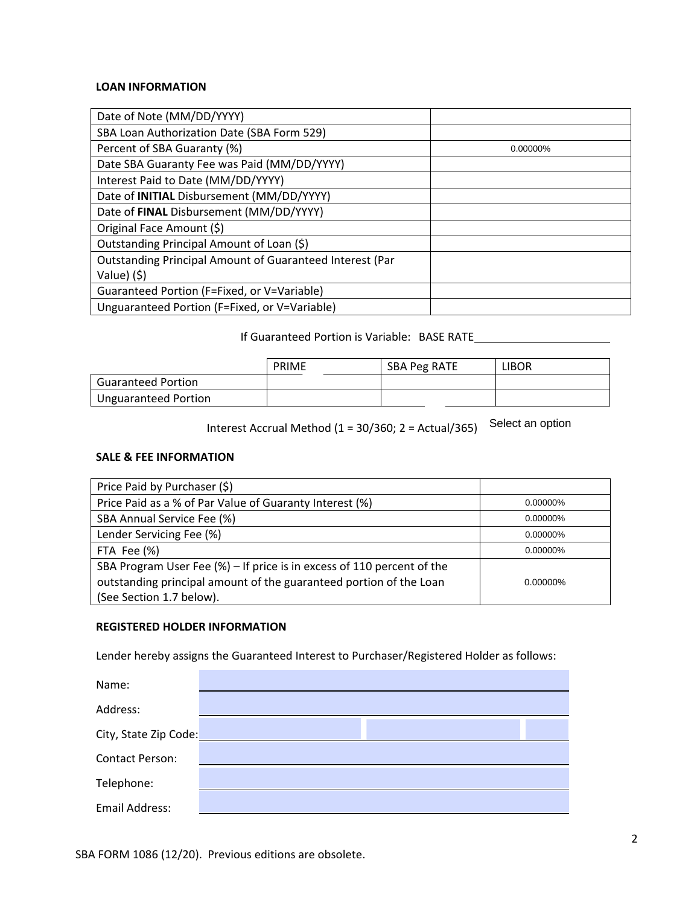#### **LOAN INFORMATION**

| Date of Note (MM/DD/YYYY)                                |          |
|----------------------------------------------------------|----------|
| SBA Loan Authorization Date (SBA Form 529)               |          |
| Percent of SBA Guaranty (%)                              | 0.00000% |
| Date SBA Guaranty Fee was Paid (MM/DD/YYYY)              |          |
| Interest Paid to Date (MM/DD/YYYY)                       |          |
| Date of INITIAL Disbursement (MM/DD/YYYY)                |          |
| Date of FINAL Disbursement (MM/DD/YYYY)                  |          |
| Original Face Amount (\$)                                |          |
| Outstanding Principal Amount of Loan (\$)                |          |
| Outstanding Principal Amount of Guaranteed Interest (Par |          |
| Value) (\$)                                              |          |
| Guaranteed Portion (F=Fixed, or V=Variable)              |          |
| Unguaranteed Portion (F=Fixed, or V=Variable)            |          |

#### If Guaranteed Portion is Variable: BASE RATE

|                           | <b>PRIME</b> | <b>SBA Peg RATE</b> | libor |
|---------------------------|--------------|---------------------|-------|
| <b>Guaranteed Portion</b> |              |                     |       |
| Unguaranteed Portion      |              |                     |       |

Interest Accrual Method (1 = 30/360; 2 = Actual/365) Select an option

#### **SALE & FEE INFORMATION**

| Price Paid by Purchaser (\$)                                           |             |
|------------------------------------------------------------------------|-------------|
| Price Paid as a % of Par Value of Guaranty Interest (%)                | 0.00000%    |
| SBA Annual Service Fee (%)                                             | 0.00000%    |
| Lender Servicing Fee (%)                                               | 0.00000%    |
| FTA Fee (%)                                                            | 0.00000%    |
| SBA Program User Fee (%) - If price is in excess of 110 percent of the |             |
| outstanding principal amount of the guaranteed portion of the Loan     | $0.00000\%$ |
| (See Section 1.7 below).                                               |             |

#### **REGISTERED HOLDER INFORMATION**

Lender hereby assigns the Guaranteed Interest to Purchaser/Registered Holder as follows:

| Name:                  |  |
|------------------------|--|
| Address:               |  |
| City, State Zip Code:  |  |
| <b>Contact Person:</b> |  |
| Telephone:             |  |
| Email Address:         |  |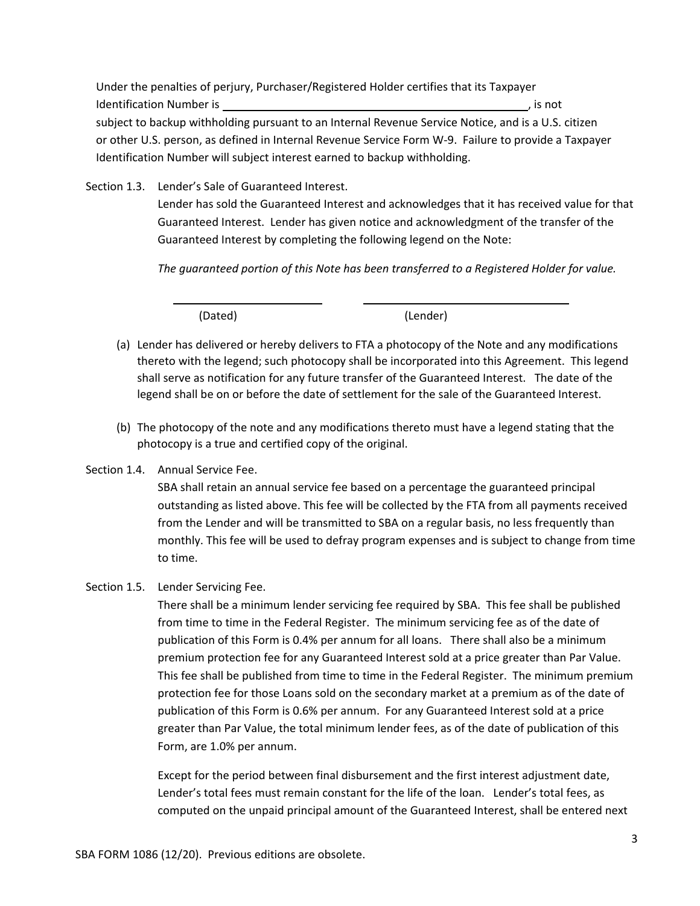Under the penalties of perjury, Purchaser/Registered Holder certifies that its Taxpayer Identification Number is , is not all the state of the state of the state of the state of the state of the state of the state of the state of the state of the state of the state of the state of the state of the state of th subject to backup withholding pursuant to an Internal Revenue Service Notice, and is a U.S. citizen or other U.S. person, as defined in Internal Revenue Service Form W-9. Failure to provide a Taxpayer Identification Number will subject interest earned to backup withholding.

Section 1.3. Lender's Sale of Guaranteed Interest.

Lender has sold the Guaranteed Interest and acknowledges that it has received value for that Guaranteed Interest. Lender has given notice and acknowledgment of the transfer of the Guaranteed Interest by completing the following legend on the Note:

*The guaranteed portion of this Note has been transferred to a Registered Holder for value.*

(Dated) (Lender)

- (a) Lender has delivered or hereby delivers to FTA a photocopy of the Note and any modifications thereto with the legend; such photocopy shall be incorporated into this Agreement. This legend shall serve as notification for any future transfer of the Guaranteed Interest. The date of the legend shall be on or before the date of settlement for the sale of the Guaranteed Interest.
- (b) The photocopy of the note and any modifications thereto must have a legend stating that the photocopy is a true and certified copy of the original.
- Section 1.4. Annual Service Fee.

SBA shall retain an annual service fee based on a percentage the guaranteed principal outstanding as listed above. This fee will be collected by the FTA from all payments received from the Lender and will be transmitted to SBA on a regular basis, no less frequently than monthly. This fee will be used to defray program expenses and is subject to change from time to time.

#### Section 1.5. Lender Servicing Fee.

There shall be a minimum lender servicing fee required by SBA. This fee shall be published from time to time in the Federal Register. The minimum servicing fee as of the date of publication of this Form is 0.4% per annum for all loans. There shall also be a minimum premium protection fee for any Guaranteed Interest sold at a price greater than Par Value. This fee shall be published from time to time in the Federal Register. The minimum premium protection fee for those Loans sold on the secondary market at a premium as of the date of publication of this Form is 0.6% per annum. For any Guaranteed Interest sold at a price greater than Par Value, the total minimum lender fees, as of the date of publication of this Form, are 1.0% per annum.

Except for the period between final disbursement and the first interest adjustment date, Lender's total fees must remain constant for the life of the loan. Lender's total fees, as computed on the unpaid principal amount of the Guaranteed Interest, shall be entered next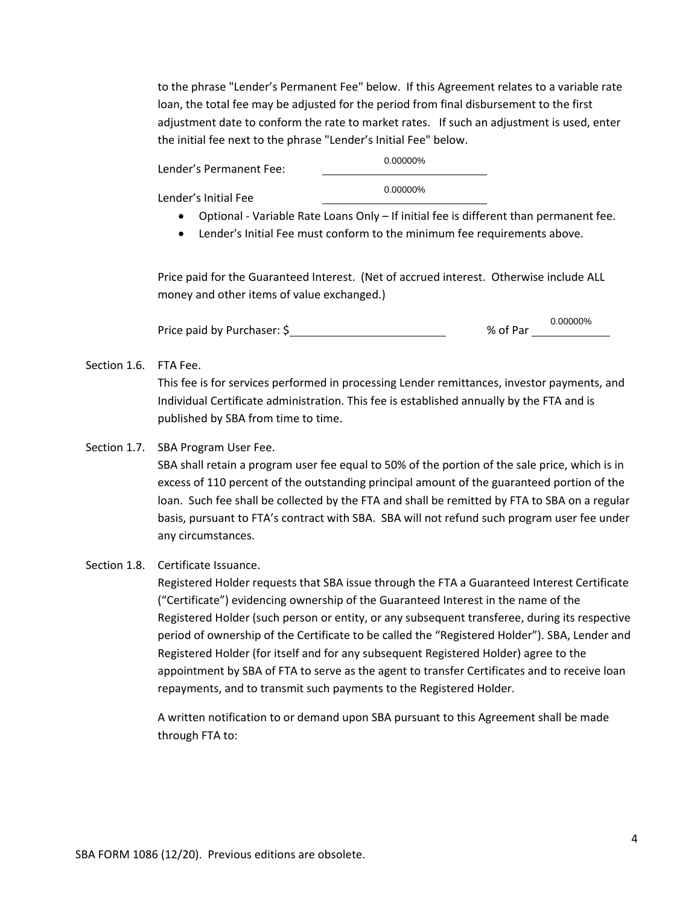to the phrase "Lender's Permanent Fee" below. If this Agreement relates to a variable rate loan, the total fee may be adjusted for the period from final disbursement to the first adjustment date to conform the rate to market rates. If such an adjustment is used, enter the initial fee next to the phrase "Lender's Initial Fee" below.

Lender's Permanent Fee: 0.00000% 0.00000%

Lender's Initial Fee

- Optional Variable Rate Loans Only If initial fee is different than permanent fee.
- Lender's Initial Fee must conform to the minimum fee requirements above.

Price paid for the Guaranteed Interest. (Net of accrued interest. Otherwise include ALL money and other items of value exchanged.)

|                             |          | 0.00000% |
|-----------------------------|----------|----------|
| Price paid by Purchaser: \$ | % of Par |          |

#### Section 1.6. FTA Fee.

This fee is for services performed in processing Lender remittances, investor payments, and Individual Certificate administration. This fee is established annually by the FTA and is published by SBA from time to time.

#### Section 1.7. SBA Program User Fee.

SBA shall retain a program user fee equal to 50% of the portion of the sale price, which is in excess of 110 percent of the outstanding principal amount of the guaranteed portion of the loan. Such fee shall be collected by the FTA and shall be remitted by FTA to SBA on a regular basis, pursuant to FTA's contract with SBA. SBA will not refund such program user fee under any circumstances.

#### Section 1.8. Certificate Issuance.

Registered Holder requests that SBA issue through the FTA a Guaranteed Interest Certificate ("Certificate") evidencing ownership of the Guaranteed Interest in the name of the Registered Holder (such person or entity, or any subsequent transferee, during its respective period of ownership of the Certificate to be called the "Registered Holder"). SBA, Lender and Registered Holder (for itself and for any subsequent Registered Holder) agree to the appointment by SBA of FTA to serve as the agent to transfer Certificates and to receive loan repayments, and to transmit such payments to the Registered Holder.

A written notification to or demand upon SBA pursuant to this Agreement shall be made through FTA to: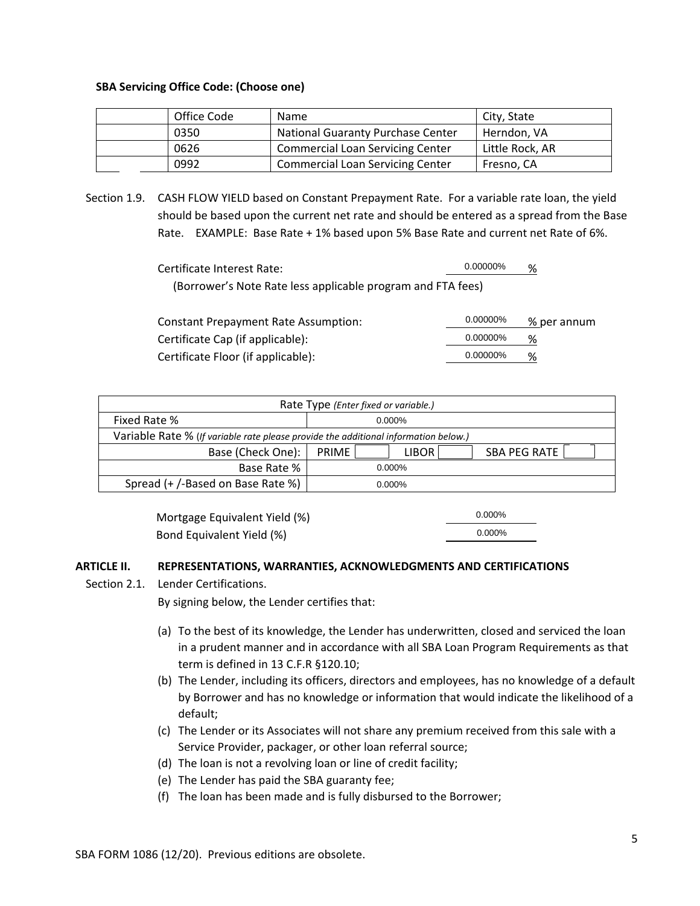#### **SBA Servicing Office Code: (Choose one)**

| Office Code | Name                                    | City, State     |
|-------------|-----------------------------------------|-----------------|
| 0350        | National Guaranty Purchase Center       | Herndon, VA     |
| 0626        | <b>Commercial Loan Servicing Center</b> | Little Rock, AR |
| 0992        | <b>Commercial Loan Servicing Center</b> | Fresno, CA      |

Section 1.9. CASH FLOW YIELD based on Constant Prepayment Rate. For a variable rate loan, the yield should be based upon the current net rate and should be entered as a spread from the Base Rate. EXAMPLE: Base Rate + 1% based upon 5% Base Rate and current net Rate of 6%.

| Certificate Interest Rate:                                  | 0.00000% | % |
|-------------------------------------------------------------|----------|---|
| (Borrower's Note Rate less applicable program and FTA fees) |          |   |

| Constant Prepayment Rate Assumption: | 0.00000% | % per annum |
|--------------------------------------|----------|-------------|
| Certificate Cap (if applicable):     | 0.00000% | %           |
| Certificate Floor (if applicable):   | 0.00000% | %           |

| Rate Type (Enter fixed or variable.)                                                |              |  |           |              |  |
|-------------------------------------------------------------------------------------|--------------|--|-----------|--------------|--|
| Fixed Rate %                                                                        |              |  | $0.000\%$ |              |  |
| Variable Rate % (If variable rate please provide the additional information below.) |              |  |           |              |  |
| Base (Check One):                                                                   | <b>PRIME</b> |  | LIBOR     | SBA PEG RATE |  |
| Base Rate %                                                                         | $0.000\%$    |  |           |              |  |
| Spread (+ /-Based on Base Rate %)                                                   | $0.000\%$    |  |           |              |  |

 Mortgage Equivalent Yield (%) Bond Equivalent Yield (%)

0.000% 0.000%

#### **ARTICLE II. REPRESENTATIONS, WARRANTIES, ACKNOWLEDGMENTS AND CERTIFICATIONS**

Section 2.1. Lender Certifications.

By signing below, the Lender certifies that:

- (a) To the best of its knowledge, the Lender has underwritten, closed and serviced the loan in a prudent manner and in accordance with all SBA Loan Program Requirements as that term is defined in 13 C.F.R §120.10;
- (b) The Lender, including its officers, directors and employees, has no knowledge of a default by Borrower and has no knowledge or information that would indicate the likelihood of a default;
- (c) The Lender or its Associates will not share any premium received from this sale with a Service Provider, packager, or other loan referral source;
- (d) The loan is not a revolving loan or line of credit facility;
- (e) The Lender has paid the SBA guaranty fee;
- (f) The loan has been made and is fully disbursed to the Borrower;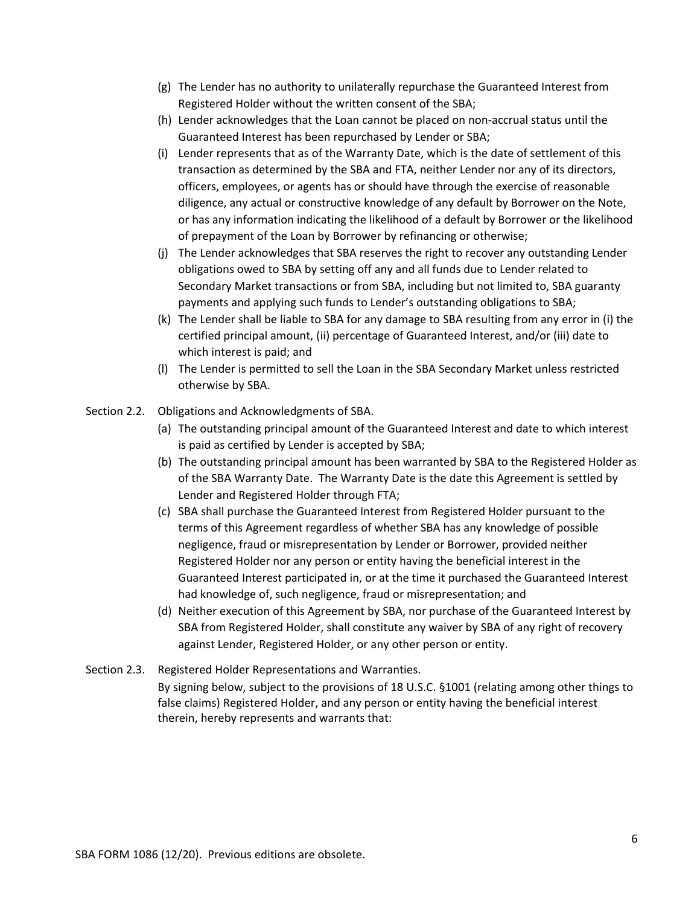- (g) The Lender has no authority to unilaterally repurchase the Guaranteed Interest from Registered Holder without the written consent of the SBA;
- (h) Lender acknowledges that the Loan cannot be placed on non-accrual status until the Guaranteed Interest has been repurchased by Lender or SBA;
- (i) Lender represents that as of the Warranty Date, which is the date of settlement of this transaction as determined by the SBA and FTA, neither Lender nor any of its directors, officers, employees, or agents has or should have through the exercise of reasonable diligence, any actual or constructive knowledge of any default by Borrower on the Note, or has any information indicating the likelihood of a default by Borrower or the likelihood of prepayment of the Loan by Borrower by refinancing or otherwise;
- (j) The Lender acknowledges that SBA reserves the right to recover any outstanding Lender obligations owed to SBA by setting off any and all funds due to Lender related to Secondary Market transactions or from SBA, including but not limited to, SBA guaranty payments and applying such funds to Lender's outstanding obligations to SBA;
- (k) The Lender shall be liable to SBA for any damage to SBA resulting from any error in (i) the certified principal amount, (ii) percentage of Guaranteed Interest, and/or (iii) date to which interest is paid; and
- (l) The Lender is permitted to sell the Loan in the SBA Secondary Market unless restricted otherwise by SBA.
- Section 2.2. Obligations and Acknowledgments of SBA.
	- (a) The outstanding principal amount of the Guaranteed Interest and date to which interest is paid as certified by Lender is accepted by SBA;
	- (b) The outstanding principal amount has been warranted by SBA to the Registered Holder as of the SBA Warranty Date. The Warranty Date is the date this Agreement is settled by Lender and Registered Holder through FTA;
	- (c) SBA shall purchase the Guaranteed Interest from Registered Holder pursuant to the terms of this Agreement regardless of whether SBA has any knowledge of possible negligence, fraud or misrepresentation by Lender or Borrower, provided neither Registered Holder nor any person or entity having the beneficial interest in the Guaranteed Interest participated in, or at the time it purchased the Guaranteed Interest had knowledge of, such negligence, fraud or misrepresentation; and
	- (d) Neither execution of this Agreement by SBA, nor purchase of the Guaranteed Interest by SBA from Registered Holder, shall constitute any waiver by SBA of any right of recovery against Lender, Registered Holder, or any other person or entity.
- Section 2.3. Registered Holder Representations and Warranties.

By signing below, subject to the provisions of 18 U.S.C. §1001 (relating among other things to false claims) Registered Holder, and any person or entity having the beneficial interest therein, hereby represents and warrants that: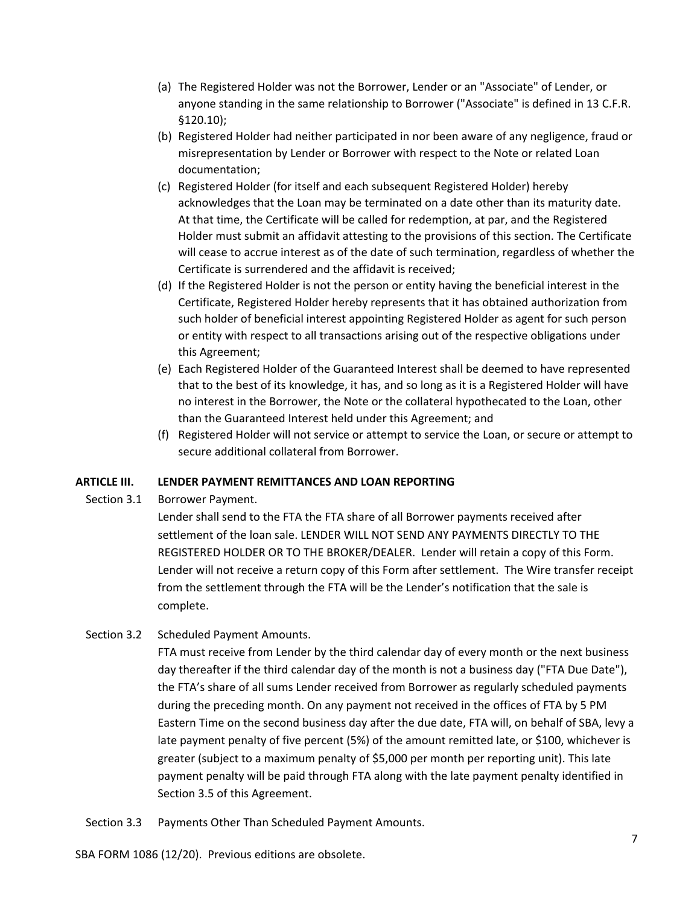- (a) The Registered Holder was not the Borrower, Lender or an "Associate" of Lender, or anyone standing in the same relationship to Borrower ("Associate" is defined in 13 C.F.R. §120.10);
- (b) Registered Holder had neither participated in nor been aware of any negligence, fraud or misrepresentation by Lender or Borrower with respect to the Note or related Loan documentation;
- (c) Registered Holder (for itself and each subsequent Registered Holder) hereby acknowledges that the Loan may be terminated on a date other than its maturity date. At that time, the Certificate will be called for redemption, at par, and the Registered Holder must submit an affidavit attesting to the provisions of this section. The Certificate will cease to accrue interest as of the date of such termination, regardless of whether the Certificate is surrendered and the affidavit is received;
- (d) If the Registered Holder is not the person or entity having the beneficial interest in the Certificate, Registered Holder hereby represents that it has obtained authorization from such holder of beneficial interest appointing Registered Holder as agent for such person or entity with respect to all transactions arising out of the respective obligations under this Agreement;
- (e) Each Registered Holder of the Guaranteed Interest shall be deemed to have represented that to the best of its knowledge, it has, and so long as it is a Registered Holder will have no interest in the Borrower, the Note or the collateral hypothecated to the Loan, other than the Guaranteed Interest held under this Agreement; and
- (f) Registered Holder will not service or attempt to service the Loan, or secure or attempt to secure additional collateral from Borrower.

#### **ARTICLE III. LENDER PAYMENT REMITTANCES AND LOAN REPORTING**

Section 3.1 Borrower Payment.

Lender shall send to the FTA the FTA share of all Borrower payments received after settlement of the loan sale. LENDER WILL NOT SEND ANY PAYMENTS DIRECTLY TO THE REGISTERED HOLDER OR TO THE BROKER/DEALER. Lender will retain a copy of this Form. Lender will not receive a return copy of this Form after settlement. The Wire transfer receipt from the settlement through the FTA will be the Lender's notification that the sale is complete.

Section 3.2 Scheduled Payment Amounts.

FTA must receive from Lender by the third calendar day of every month or the next business day thereafter if the third calendar day of the month is not a business day ("FTA Due Date"), the FTA's share of all sums Lender received from Borrower as regularly scheduled payments during the preceding month. On any payment not received in the offices of FTA by 5 PM Eastern Time on the second business day after the due date, FTA will, on behalf of SBA, levy a late payment penalty of five percent (5%) of the amount remitted late, or \$100, whichever is greater (subject to a maximum penalty of \$5,000 per month per reporting unit). This late payment penalty will be paid through FTA along with the late payment penalty identified in Section 3.5 of this Agreement.

Section 3.3 Payments Other Than Scheduled Payment Amounts.

SBA FORM 1086 (12/20). Previous editions are obsolete.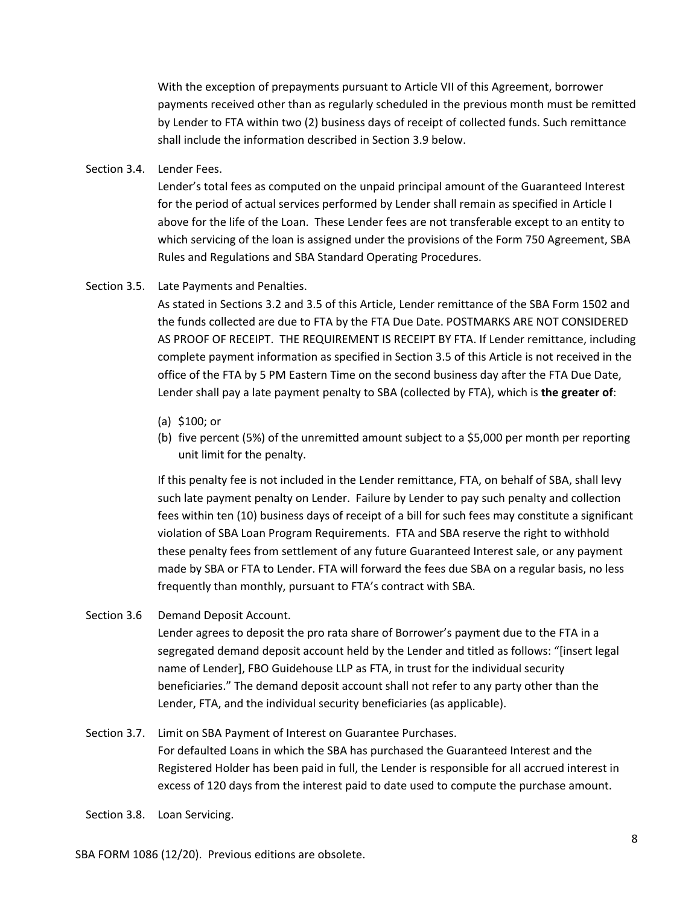With the exception of prepayments pursuant to Article VII of this Agreement, borrower payments received other than as regularly scheduled in the previous month must be remitted by Lender to FTA within two (2) business days of receipt of collected funds. Such remittance shall include the information described in Section 3.9 below.

Section 3.4. Lender Fees.

Lender's total fees as computed on the unpaid principal amount of the Guaranteed Interest for the period of actual services performed by Lender shall remain as specified in Article I above for the life of the Loan. These Lender fees are not transferable except to an entity to which servicing of the loan is assigned under the provisions of the Form 750 Agreement, SBA Rules and Regulations and SBA Standard Operating Procedures.

Section 3.5. Late Payments and Penalties.

As stated in Sections 3.2 and 3.5 of this Article, Lender remittance of the SBA Form 1502 and the funds collected are due to FTA by the FTA Due Date. POSTMARKS ARE NOT CONSIDERED AS PROOF OF RECEIPT. THE REQUIREMENT IS RECEIPT BY FTA. If Lender remittance, including complete payment information as specified in Section 3.5 of this Article is not received in the office of the FTA by 5 PM Eastern Time on the second business day after the FTA Due Date, Lender shall pay a late payment penalty to SBA (collected by FTA), which is **the greater of**:

- (a) \$100; or
- (b) five percent (5%) of the unremitted amount subject to a \$5,000 per month per reporting unit limit for the penalty.

If this penalty fee is not included in the Lender remittance, FTA, on behalf of SBA, shall levy such late payment penalty on Lender. Failure by Lender to pay such penalty and collection fees within ten (10) business days of receipt of a bill for such fees may constitute a significant violation of SBA Loan Program Requirements. FTA and SBA reserve the right to withhold these penalty fees from settlement of any future Guaranteed Interest sale, or any payment made by SBA or FTA to Lender. FTA will forward the fees due SBA on a regular basis, no less frequently than monthly, pursuant to FTA's contract with SBA.

Section 3.6 Demand Deposit Account.

Lender agrees to deposit the pro rata share of Borrower's payment due to the FTA in a segregated demand deposit account held by the Lender and titled as follows: "[insert legal name of Lender], FBO Guidehouse LLP as FTA, in trust for the individual security beneficiaries." The demand deposit account shall not refer to any party other than the Lender, FTA, and the individual security beneficiaries (as applicable).

```
Section 3.7. Limit on SBA Payment of Interest on Guarantee Purchases.
 For defaulted Loans in which the SBA has purchased the Guaranteed Interest and the 
 Registered Holder has been paid in full, the Lender is responsible for all accrued interest in 
 excess of 120 days from the interest paid to date used to compute the purchase amount.
```
Section 3.8. Loan Servicing.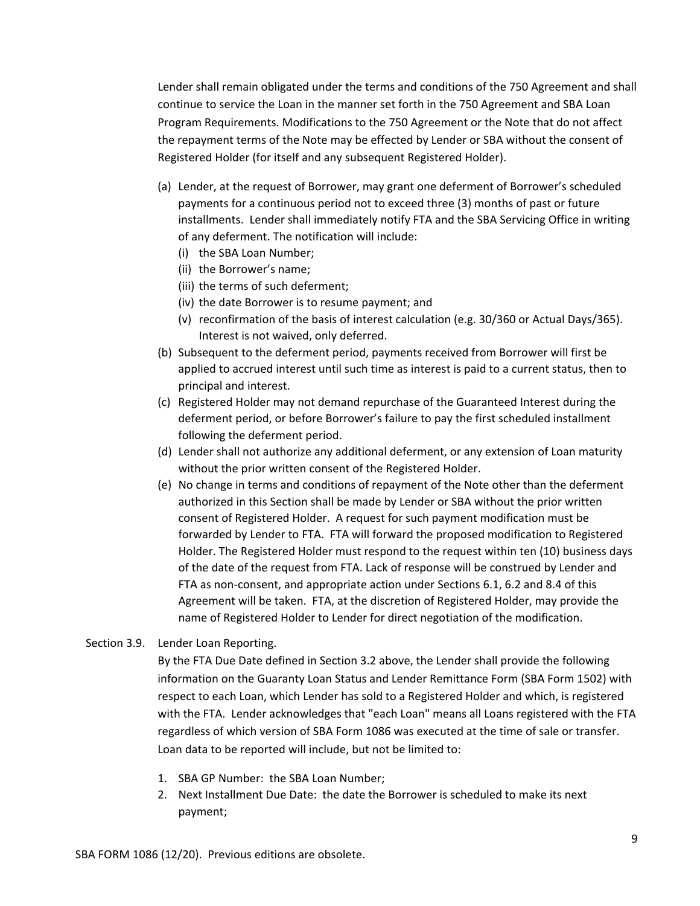Lender shall remain obligated under the terms and conditions of the 750 Agreement and shall continue to service the Loan in the manner set forth in the 750 Agreement and SBA Loan Program Requirements. Modifications to the 750 Agreement or the Note that do not affect the repayment terms of the Note may be effected by Lender or SBA without the consent of Registered Holder (for itself and any subsequent Registered Holder).

- (a) Lender, at the request of Borrower, may grant one deferment of Borrower's scheduled payments for a continuous period not to exceed three (3) months of past or future installments. Lender shall immediately notify FTA and the SBA Servicing Office in writing of any deferment. The notification will include:
	- (i) the SBA Loan Number;
	- (ii) the Borrower's name;
	- (iii) the terms of such deferment;
	- (iv) the date Borrower is to resume payment; and
	- (v) reconfirmation of the basis of interest calculation (e.g. 30/360 or Actual Days/365). Interest is not waived, only deferred.
- (b) Subsequent to the deferment period, payments received from Borrower will first be applied to accrued interest until such time as interest is paid to a current status, then to principal and interest.
- (c) Registered Holder may not demand repurchase of the Guaranteed Interest during the deferment period, or before Borrower's failure to pay the first scheduled installment following the deferment period.
- (d) Lender shall not authorize any additional deferment, or any extension of Loan maturity without the prior written consent of the Registered Holder.
- (e) No change in terms and conditions of repayment of the Note other than the deferment authorized in this Section shall be made by Lender or SBA without the prior written consent of Registered Holder. A request for such payment modification must be forwarded by Lender to FTA. FTA will forward the proposed modification to Registered Holder. The Registered Holder must respond to the request within ten (10) business days of the date of the request from FTA. Lack of response will be construed by Lender and FTA as non-consent, and appropriate action under Sections 6.1, 6.2 and 8.4 of this Agreement will be taken. FTA, at the discretion of Registered Holder, may provide the name of Registered Holder to Lender for direct negotiation of the modification.
- Section 3.9. Lender Loan Reporting.

By the FTA Due Date defined in Section 3.2 above, the Lender shall provide the following information on the Guaranty Loan Status and Lender Remittance Form (SBA Form 1502) with respect to each Loan, which Lender has sold to a Registered Holder and which, is registered with the FTA. Lender acknowledges that "each Loan" means all Loans registered with the FTA regardless of which version of SBA Form 1086 was executed at the time of sale or transfer. Loan data to be reported will include, but not be limited to:

- 1. SBA GP Number: the SBA Loan Number;
- 2. Next Installment Due Date: the date the Borrower is scheduled to make its next payment;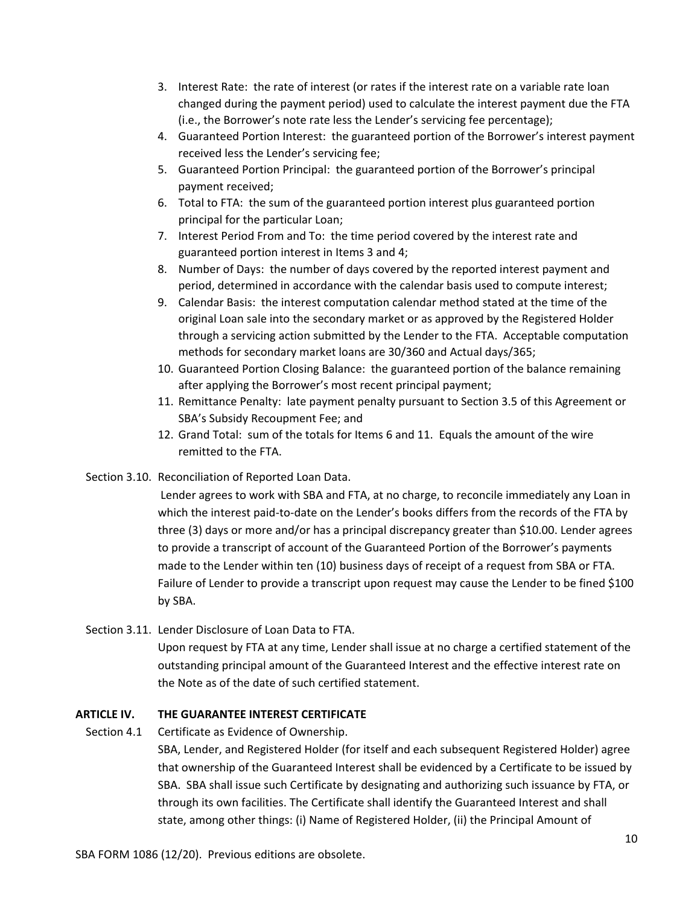- 3. Interest Rate: the rate of interest (or rates if the interest rate on a variable rate loan changed during the payment period) used to calculate the interest payment due the FTA (i.e., the Borrower's note rate less the Lender's servicing fee percentage);
- 4. Guaranteed Portion Interest: the guaranteed portion of the Borrower's interest payment received less the Lender's servicing fee;
- 5. Guaranteed Portion Principal: the guaranteed portion of the Borrower's principal payment received;
- 6. Total to FTA: the sum of the guaranteed portion interest plus guaranteed portion principal for the particular Loan;
- 7. Interest Period From and To: the time period covered by the interest rate and guaranteed portion interest in Items 3 and 4;
- 8. Number of Days: the number of days covered by the reported interest payment and period, determined in accordance with the calendar basis used to compute interest;
- 9. Calendar Basis: the interest computation calendar method stated at the time of the original Loan sale into the secondary market or as approved by the Registered Holder through a servicing action submitted by the Lender to the FTA. Acceptable computation methods for secondary market loans are 30/360 and Actual days/365;
- 10. Guaranteed Portion Closing Balance: the guaranteed portion of the balance remaining after applying the Borrower's most recent principal payment;
- 11. Remittance Penalty: late payment penalty pursuant to Section 3.5 of this Agreement or SBA's Subsidy Recoupment Fee; and
- 12. Grand Total: sum of the totals for Items 6 and 11. Equals the amount of the wire remitted to the FTA.
- Section 3.10. Reconciliation of Reported Loan Data.

Lender agrees to work with SBA and FTA, at no charge, to reconcile immediately any Loan in which the interest paid-to-date on the Lender's books differs from the records of the FTA by three (3) days or more and/or has a principal discrepancy greater than \$10.00. Lender agrees to provide a transcript of account of the Guaranteed Portion of the Borrower's payments made to the Lender within ten (10) business days of receipt of a request from SBA or FTA. Failure of Lender to provide a transcript upon request may cause the Lender to be fined \$100 by SBA.

Section 3.11. Lender Disclosure of Loan Data to FTA.

Upon request by FTA at any time, Lender shall issue at no charge a certified statement of the outstanding principal amount of the Guaranteed Interest and the effective interest rate on the Note as of the date of such certified statement.

# **ARTICLE IV. THE GUARANTEE INTEREST CERTIFICATE**

Section 4.1 Certificate as Evidence of Ownership.

SBA, Lender, and Registered Holder (for itself and each subsequent Registered Holder) agree that ownership of the Guaranteed Interest shall be evidenced by a Certificate to be issued by SBA. SBA shall issue such Certificate by designating and authorizing such issuance by FTA, or through its own facilities. The Certificate shall identify the Guaranteed Interest and shall state, among other things: (i) Name of Registered Holder, (ii) the Principal Amount of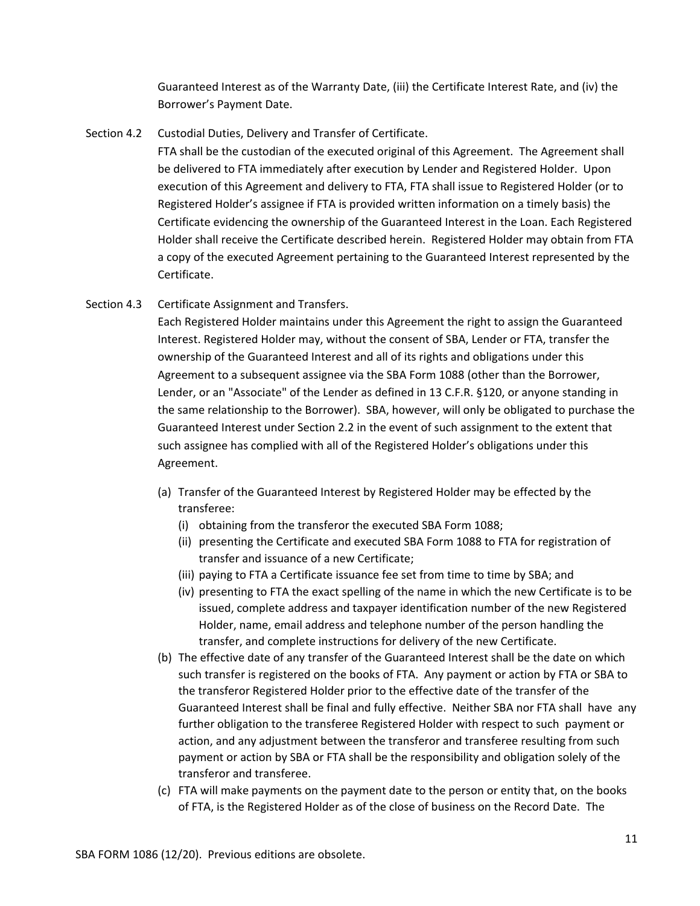Guaranteed Interest as of the Warranty Date, (iii) the Certificate Interest Rate, and (iv) the Borrower's Payment Date.

Section 4.2 Custodial Duties, Delivery and Transfer of Certificate.

FTA shall be the custodian of the executed original of this Agreement. The Agreement shall be delivered to FTA immediately after execution by Lender and Registered Holder. Upon execution of this Agreement and delivery to FTA, FTA shall issue to Registered Holder (or to Registered Holder's assignee if FTA is provided written information on a timely basis) the Certificate evidencing the ownership of the Guaranteed Interest in the Loan. Each Registered Holder shall receive the Certificate described herein. Registered Holder may obtain from FTA a copy of the executed Agreement pertaining to the Guaranteed Interest represented by the Certificate.

Section 4.3 Certificate Assignment and Transfers.

Each Registered Holder maintains under this Agreement the right to assign the Guaranteed Interest. Registered Holder may, without the consent of SBA, Lender or FTA, transfer the ownership of the Guaranteed Interest and all of its rights and obligations under this Agreement to a subsequent assignee via the SBA Form 1088 (other than the Borrower, Lender, or an "Associate" of the Lender as defined in 13 C.F.R. §120, or anyone standing in the same relationship to the Borrower). SBA, however, will only be obligated to purchase the Guaranteed Interest under Section 2.2 in the event of such assignment to the extent that such assignee has complied with all of the Registered Holder's obligations under this Agreement.

- (a) Transfer of the Guaranteed Interest by Registered Holder may be effected by the transferee:
	- (i) obtaining from the transferor the executed SBA Form 1088;
	- (ii) presenting the Certificate and executed SBA Form 1088 to FTA for registration of transfer and issuance of a new Certificate;
	- (iii) paying to FTA a Certificate issuance fee set from time to time by SBA; and
	- (iv) presenting to FTA the exact spelling of the name in which the new Certificate is to be issued, complete address and taxpayer identification number of the new Registered Holder, name, email address and telephone number of the person handling the transfer, and complete instructions for delivery of the new Certificate.
- (b) The effective date of any transfer of the Guaranteed Interest shall be the date on which such transfer is registered on the books of FTA. Any payment or action by FTA or SBA to the transferor Registered Holder prior to the effective date of the transfer of the Guaranteed Interest shall be final and fully effective. Neither SBA nor FTA shall have any further obligation to the transferee Registered Holder with respect to such payment or action, and any adjustment between the transferor and transferee resulting from such payment or action by SBA or FTA shall be the responsibility and obligation solely of the transferor and transferee.
- (c) FTA will make payments on the payment date to the person or entity that, on the books of FTA, is the Registered Holder as of the close of business on the Record Date. The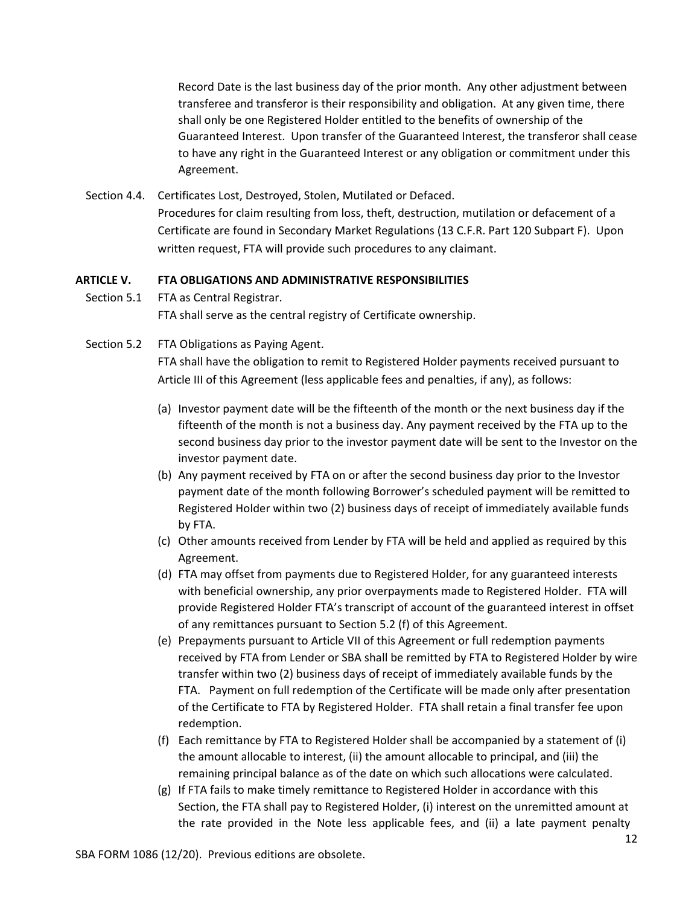Record Date is the last business day of the prior month. Any other adjustment between transferee and transferor is their responsibility and obligation. At any given time, there shall only be one Registered Holder entitled to the benefits of ownership of the Guaranteed Interest. Upon transfer of the Guaranteed Interest, the transferor shall cease to have any right in the Guaranteed Interest or any obligation or commitment under this Agreement.

Section 4.4. Certificates Lost, Destroyed, Stolen, Mutilated or Defaced. Procedures for claim resulting from loss, theft, destruction, mutilation or defacement of a Certificate are found in Secondary Market Regulations (13 C.F.R. Part 120 Subpart F). Upon written request, FTA will provide such procedures to any claimant.

#### **ARTICLE V. FTA OBLIGATIONS AND ADMINISTRATIVE RESPONSIBILITIES**

- Section 5.1 FTA as Central Registrar. FTA shall serve as the central registry of Certificate ownership.
- Section 5.2 FTA Obligations as Paying Agent.

FTA shall have the obligation to remit to Registered Holder payments received pursuant to Article III of this Agreement (less applicable fees and penalties, if any), as follows:

- (a) Investor payment date will be the fifteenth of the month or the next business day if the fifteenth of the month is not a business day. Any payment received by the FTA up to the second business day prior to the investor payment date will be sent to the Investor on the investor payment date.
- (b) Any payment received by FTA on or after the second business day prior to the Investor payment date of the month following Borrower's scheduled payment will be remitted to Registered Holder within two (2) business days of receipt of immediately available funds by FTA.
- (c) Other amounts received from Lender by FTA will be held and applied as required by this Agreement.
- (d) FTA may offset from payments due to Registered Holder, for any guaranteed interests with beneficial ownership, any prior overpayments made to Registered Holder. FTA will provide Registered Holder FTA's transcript of account of the guaranteed interest in offset of any remittances pursuant to Section 5.2 (f) of this Agreement.
- (e) Prepayments pursuant to Article VII of this Agreement or full redemption payments received by FTA from Lender or SBA shall be remitted by FTA to Registered Holder by wire transfer within two (2) business days of receipt of immediately available funds by the FTA. Payment on full redemption of the Certificate will be made only after presentation of the Certificate to FTA by Registered Holder. FTA shall retain a final transfer fee upon redemption.
- (f) Each remittance by FTA to Registered Holder shall be accompanied by a statement of (i) the amount allocable to interest, (ii) the amount allocable to principal, and (iii) the remaining principal balance as of the date on which such allocations were calculated.
- (g) If FTA fails to make timely remittance to Registered Holder in accordance with this Section, the FTA shall pay to Registered Holder, (i) interest on the unremitted amount at the rate provided in the Note less applicable fees, and (ii) a late payment penalty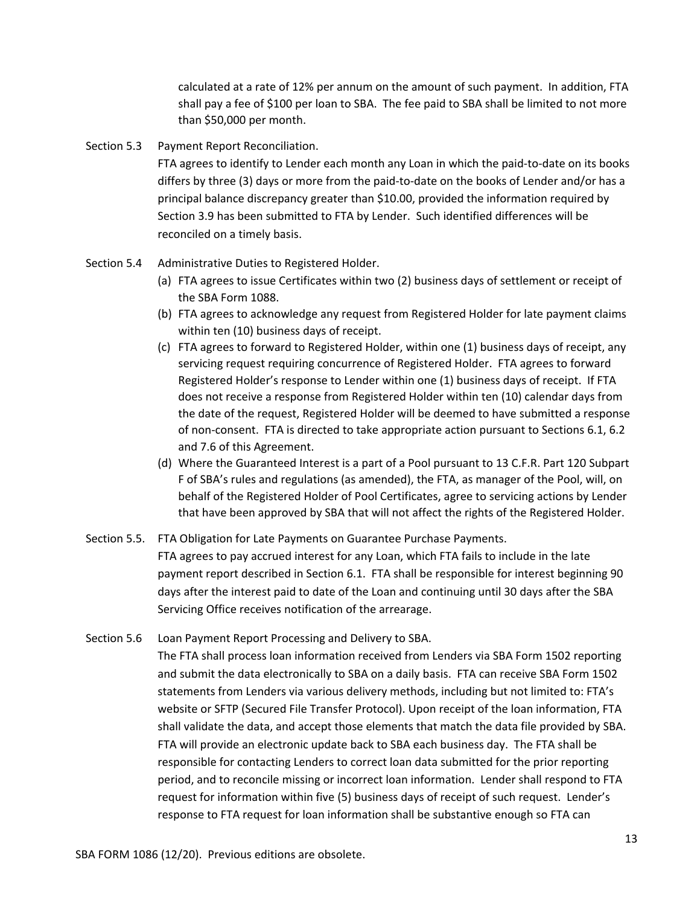calculated at a rate of 12% per annum on the amount of such payment. In addition, FTA shall pay a fee of \$100 per loan to SBA. The fee paid to SBA shall be limited to not more than \$50,000 per month.

#### Section 5.3 Payment Report Reconciliation.

FTA agrees to identify to Lender each month any Loan in which the paid-to-date on its books differs by three (3) days or more from the paid-to-date on the books of Lender and/or has a principal balance discrepancy greater than \$10.00, provided the information required by Section 3.9 has been submitted to FTA by Lender. Such identified differences will be reconciled on a timely basis.

- Section 5.4 Administrative Duties to Registered Holder.
	- (a) FTA agrees to issue Certificates within two (2) business days of settlement or receipt of the SBA Form 1088.
	- (b) FTA agrees to acknowledge any request from Registered Holder for late payment claims within ten (10) business days of receipt.
	- (c) FTA agrees to forward to Registered Holder, within one (1) business days of receipt, any servicing request requiring concurrence of Registered Holder. FTA agrees to forward Registered Holder's response to Lender within one (1) business days of receipt. If FTA does not receive a response from Registered Holder within ten (10) calendar days from the date of the request, Registered Holder will be deemed to have submitted a response of non-consent. FTA is directed to take appropriate action pursuant to Sections 6.1, 6.2 and 7.6 of this Agreement.
	- (d) Where the Guaranteed Interest is a part of a Pool pursuant to 13 C.F.R. Part 120 Subpart F of SBA's rules and regulations (as amended), the FTA, as manager of the Pool, will, on behalf of the Registered Holder of Pool Certificates, agree to servicing actions by Lender that have been approved by SBA that will not affect the rights of the Registered Holder.
- Section 5.5. FTA Obligation for Late Payments on Guarantee Purchase Payments. FTA agrees to pay accrued interest for any Loan, which FTA fails to include in the late payment report described in Section 6.1. FTA shall be responsible for interest beginning 90 days after the interest paid to date of the Loan and continuing until 30 days after the SBA Servicing Office receives notification of the arrearage.
- Section 5.6 Loan Payment Report Processing and Delivery to SBA. The FTA shall process loan information received from Lenders via SBA Form 1502 reporting and submit the data electronically to SBA on a daily basis. FTA can receive SBA Form 1502 statements from Lenders via various delivery methods, including but not limited to: FTA's website or SFTP (Secured File Transfer Protocol). Upon receipt of the loan information, FTA shall validate the data, and accept those elements that match the data file provided by SBA. FTA will provide an electronic update back to SBA each business day. The FTA shall be responsible for contacting Lenders to correct loan data submitted for the prior reporting period, and to reconcile missing or incorrect loan information. Lender shall respond to FTA request for information within five (5) business days of receipt of such request. Lender's response to FTA request for loan information shall be substantive enough so FTA can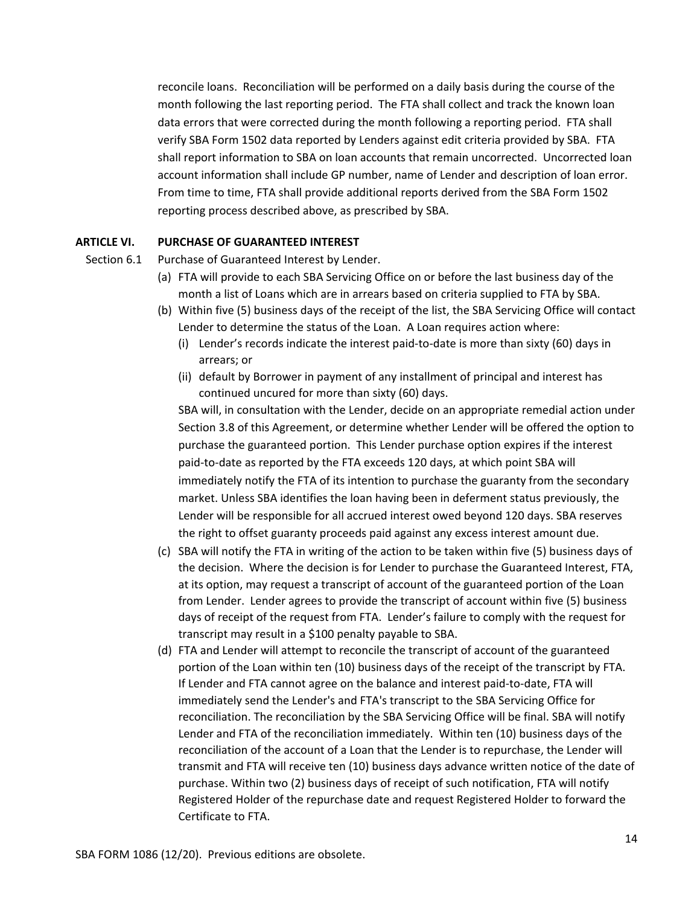reconcile loans. Reconciliation will be performed on a daily basis during the course of the month following the last reporting period. The FTA shall collect and track the known loan data errors that were corrected during the month following a reporting period. FTA shall verify SBA Form 1502 data reported by Lenders against edit criteria provided by SBA. FTA shall report information to SBA on loan accounts that remain uncorrected. Uncorrected loan account information shall include GP number, name of Lender and description of loan error. From time to time, FTA shall provide additional reports derived from the SBA Form 1502 reporting process described above, as prescribed by SBA.

#### **ARTICLE VI. PURCHASE OF GUARANTEED INTEREST**

Section 6.1 Purchase of Guaranteed Interest by Lender.

- (a) FTA will provide to each SBA Servicing Office on or before the last business day of the month a list of Loans which are in arrears based on criteria supplied to FTA by SBA.
- (b) Within five (5) business days of the receipt of the list, the SBA Servicing Office will contact Lender to determine the status of the Loan. A Loan requires action where:
	- (i) Lender's records indicate the interest paid-to-date is more than sixty (60) days in arrears; or
	- (ii) default by Borrower in payment of any installment of principal and interest has continued uncured for more than sixty (60) days.

SBA will, in consultation with the Lender, decide on an appropriate remedial action under Section 3.8 of this Agreement, or determine whether Lender will be offered the option to purchase the guaranteed portion. This Lender purchase option expires if the interest paid-to-date as reported by the FTA exceeds 120 days, at which point SBA will immediately notify the FTA of its intention to purchase the guaranty from the secondary market. Unless SBA identifies the loan having been in deferment status previously, the Lender will be responsible for all accrued interest owed beyond 120 days. SBA reserves the right to offset guaranty proceeds paid against any excess interest amount due.

- (c) SBA will notify the FTA in writing of the action to be taken within five (5) business days of the decision. Where the decision is for Lender to purchase the Guaranteed Interest, FTA, at its option, may request a transcript of account of the guaranteed portion of the Loan from Lender. Lender agrees to provide the transcript of account within five (5) business days of receipt of the request from FTA. Lender's failure to comply with the request for transcript may result in a \$100 penalty payable to SBA.
- (d) FTA and Lender will attempt to reconcile the transcript of account of the guaranteed portion of the Loan within ten (10) business days of the receipt of the transcript by FTA. If Lender and FTA cannot agree on the balance and interest paid-to-date, FTA will immediately send the Lender's and FTA's transcript to the SBA Servicing Office for reconciliation. The reconciliation by the SBA Servicing Office will be final. SBA will notify Lender and FTA of the reconciliation immediately. Within ten (10) business days of the reconciliation of the account of a Loan that the Lender is to repurchase, the Lender will transmit and FTA will receive ten (10) business days advance written notice of the date of purchase. Within two (2) business days of receipt of such notification, FTA will notify Registered Holder of the repurchase date and request Registered Holder to forward the Certificate to FTA.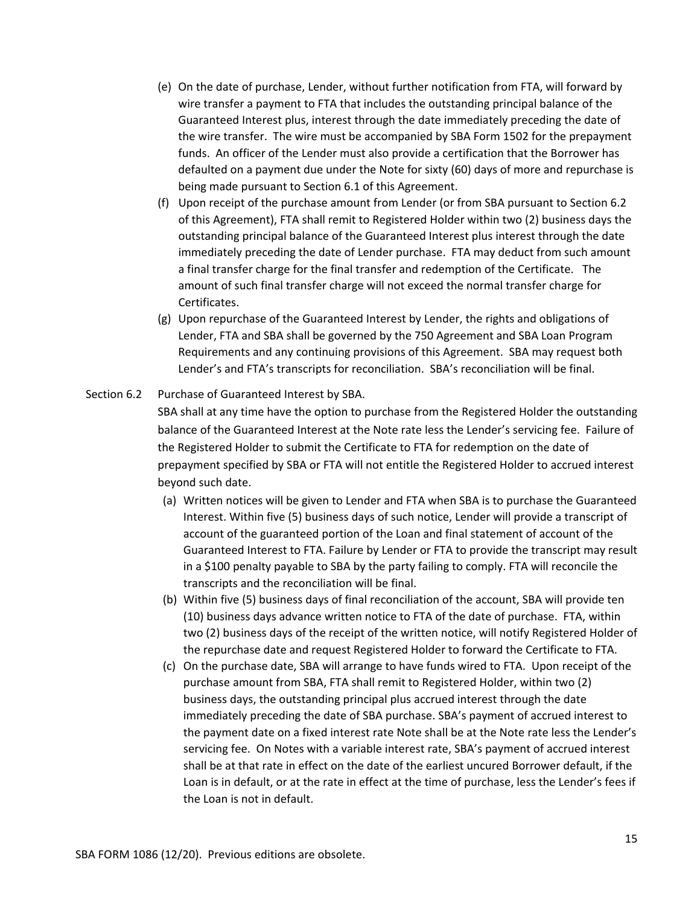- (e) On the date of purchase, Lender, without further notification from FTA, will forward by wire transfer a payment to FTA that includes the outstanding principal balance of the Guaranteed Interest plus, interest through the date immediately preceding the date of the wire transfer. The wire must be accompanied by SBA Form 1502 for the prepayment funds. An officer of the Lender must also provide a certification that the Borrower has defaulted on a payment due under the Note for sixty (60) days of more and repurchase is being made pursuant to Section 6.1 of this Agreement.
- (f) Upon receipt of the purchase amount from Lender (or from SBA pursuant to Section 6.2 of this Agreement), FTA shall remit to Registered Holder within two (2) business days the outstanding principal balance of the Guaranteed Interest plus interest through the date immediately preceding the date of Lender purchase. FTA may deduct from such amount a final transfer charge for the final transfer and redemption of the Certificate. The amount of such final transfer charge will not exceed the normal transfer charge for Certificates.
- (g) Upon repurchase of the Guaranteed Interest by Lender, the rights and obligations of Lender, FTA and SBA shall be governed by the 750 Agreement and SBA Loan Program Requirements and any continuing provisions of this Agreement. SBA may request both Lender's and FTA's transcripts for reconciliation. SBA's reconciliation will be final.
- Section 6.2 Purchase of Guaranteed Interest by SBA.

SBA shall at any time have the option to purchase from the Registered Holder the outstanding balance of the Guaranteed Interest at the Note rate less the Lender's servicing fee. Failure of the Registered Holder to submit the Certificate to FTA for redemption on the date of prepayment specified by SBA or FTA will not entitle the Registered Holder to accrued interest beyond such date.

- (a) Written notices will be given to Lender and FTA when SBA is to purchase the Guaranteed Interest. Within five (5) business days of such notice, Lender will provide a transcript of account of the guaranteed portion of the Loan and final statement of account of the Guaranteed Interest to FTA. Failure by Lender or FTA to provide the transcript may result in a \$100 penalty payable to SBA by the party failing to comply. FTA will reconcile the transcripts and the reconciliation will be final.
- (b) Within five (5) business days of final reconciliation of the account, SBA will provide ten (10) business days advance written notice to FTA of the date of purchase. FTA, within two (2) business days of the receipt of the written notice, will notify Registered Holder of the repurchase date and request Registered Holder to forward the Certificate to FTA.
- (c) On the purchase date, SBA will arrange to have funds wired to FTA. Upon receipt of the purchase amount from SBA, FTA shall remit to Registered Holder, within two (2) business days, the outstanding principal plus accrued interest through the date immediately preceding the date of SBA purchase. SBA's payment of accrued interest to the payment date on a fixed interest rate Note shall be at the Note rate less the Lender's servicing fee. On Notes with a variable interest rate, SBA's payment of accrued interest shall be at that rate in effect on the date of the earliest uncured Borrower default, if the Loan is in default, or at the rate in effect at the time of purchase, less the Lender's fees if the Loan is not in default.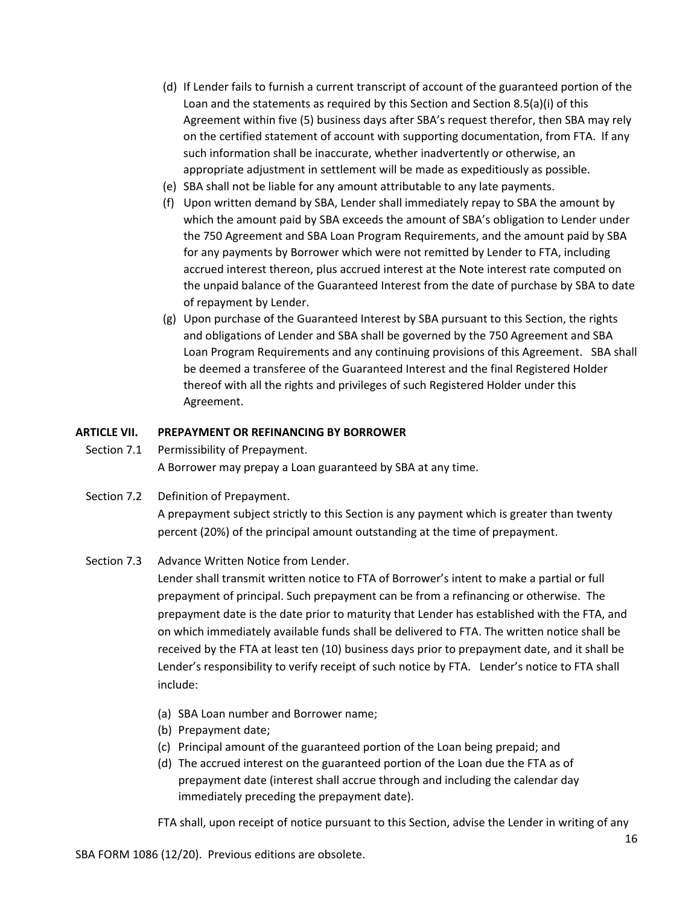- (d) If Lender fails to furnish a current transcript of account of the guaranteed portion of the Loan and the statements as required by this Section and Section 8.5(a)(i) of this Agreement within five (5) business days after SBA's request therefor, then SBA may rely on the certified statement of account with supporting documentation, from FTA. If any such information shall be inaccurate, whether inadvertently or otherwise, an appropriate adjustment in settlement will be made as expeditiously as possible.
- (e) SBA shall not be liable for any amount attributable to any late payments.
- (f) Upon written demand by SBA, Lender shall immediately repay to SBA the amount by which the amount paid by SBA exceeds the amount of SBA's obligation to Lender under the 750 Agreement and SBA Loan Program Requirements, and the amount paid by SBA for any payments by Borrower which were not remitted by Lender to FTA, including accrued interest thereon, plus accrued interest at the Note interest rate computed on the unpaid balance of the Guaranteed Interest from the date of purchase by SBA to date of repayment by Lender.
- (g) Upon purchase of the Guaranteed Interest by SBA pursuant to this Section, the rights and obligations of Lender and SBA shall be governed by the 750 Agreement and SBA Loan Program Requirements and any continuing provisions of this Agreement. SBA shall be deemed a transferee of the Guaranteed Interest and the final Registered Holder thereof with all the rights and privileges of such Registered Holder under this Agreement.

#### **ARTICLE VII. PREPAYMENT OR REFINANCING BY BORROWER**

- Section 7.1 Permissibility of Prepayment. A Borrower may prepay a Loan guaranteed by SBA at any time.
- Section 7.2 Definition of Prepayment.

A prepayment subject strictly to this Section is any payment which is greater than twenty percent (20%) of the principal amount outstanding at the time of prepayment.

# Section 7.3 Advance Written Notice from Lender.

Lender shall transmit written notice to FTA of Borrower's intent to make a partial or full prepayment of principal. Such prepayment can be from a refinancing or otherwise. The prepayment date is the date prior to maturity that Lender has established with the FTA, and on which immediately available funds shall be delivered to FTA. The written notice shall be received by the FTA at least ten (10) business days prior to prepayment date, and it shall be Lender's responsibility to verify receipt of such notice by FTA. Lender's notice to FTA shall include:

- (a) SBA Loan number and Borrower name;
- (b) Prepayment date;
- (c) Principal amount of the guaranteed portion of the Loan being prepaid; and
- (d) The accrued interest on the guaranteed portion of the Loan due the FTA as of prepayment date (interest shall accrue through and including the calendar day immediately preceding the prepayment date).

FTA shall, upon receipt of notice pursuant to this Section, advise the Lender in writing of any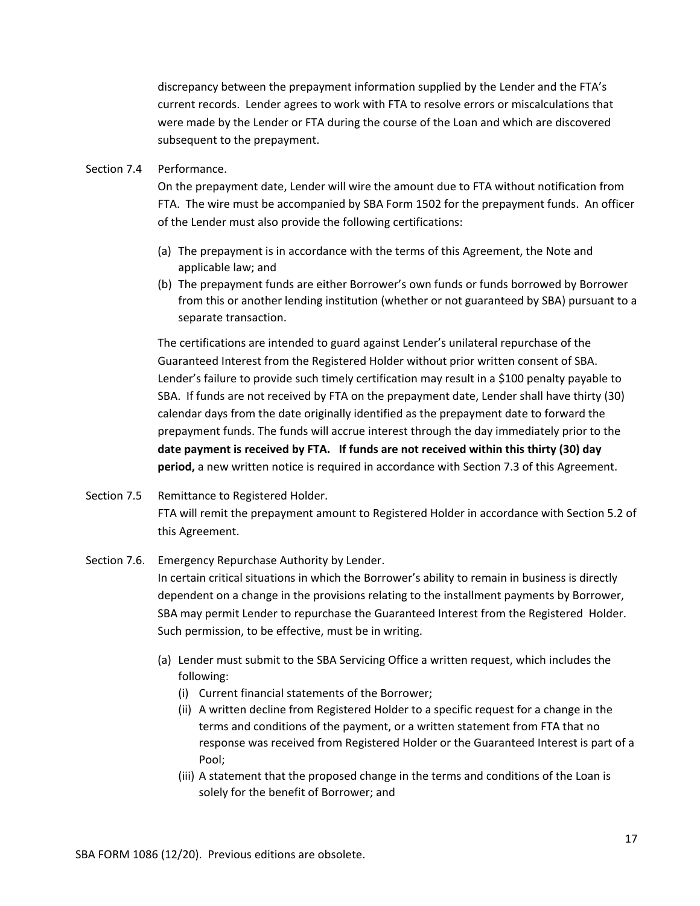discrepancy between the prepayment information supplied by the Lender and the FTA's current records. Lender agrees to work with FTA to resolve errors or miscalculations that were made by the Lender or FTA during the course of the Loan and which are discovered subsequent to the prepayment.

#### Section 7.4 Performance.

On the prepayment date, Lender will wire the amount due to FTA without notification from FTA. The wire must be accompanied by SBA Form 1502 for the prepayment funds. An officer of the Lender must also provide the following certifications:

- (a) The prepayment is in accordance with the terms of this Agreement, the Note and applicable law; and
- (b) The prepayment funds are either Borrower's own funds or funds borrowed by Borrower from this or another lending institution (whether or not guaranteed by SBA) pursuant to a separate transaction.

The certifications are intended to guard against Lender's unilateral repurchase of the Guaranteed Interest from the Registered Holder without prior written consent of SBA. Lender's failure to provide such timely certification may result in a \$100 penalty payable to SBA. If funds are not received by FTA on the prepayment date, Lender shall have thirty (30) calendar days from the date originally identified as the prepayment date to forward the prepayment funds. The funds will accrue interest through the day immediately prior to the **date payment is received by FTA. If funds are not received within this thirty (30) day period,** a new written notice is required in accordance with Section 7.3 of this Agreement.

Section 7.5 Remittance to Registered Holder. FTA will remit the prepayment amount to Registered Holder in accordance with Section 5.2 of this Agreement.

# Section 7.6. Emergency Repurchase Authority by Lender. In certain critical situations in which the Borrower's ability to remain in business is directly dependent on a change in the provisions relating to the installment payments by Borrower, SBA may permit Lender to repurchase the Guaranteed Interest from the Registered Holder. Such permission, to be effective, must be in writing.

- (a) Lender must submit to the SBA Servicing Office a written request, which includes the following:
	- (i) Current financial statements of the Borrower;
	- (ii) A written decline from Registered Holder to a specific request for a change in the terms and conditions of the payment, or a written statement from FTA that no response was received from Registered Holder or the Guaranteed Interest is part of a Pool;
	- (iii) A statement that the proposed change in the terms and conditions of the Loan is solely for the benefit of Borrower; and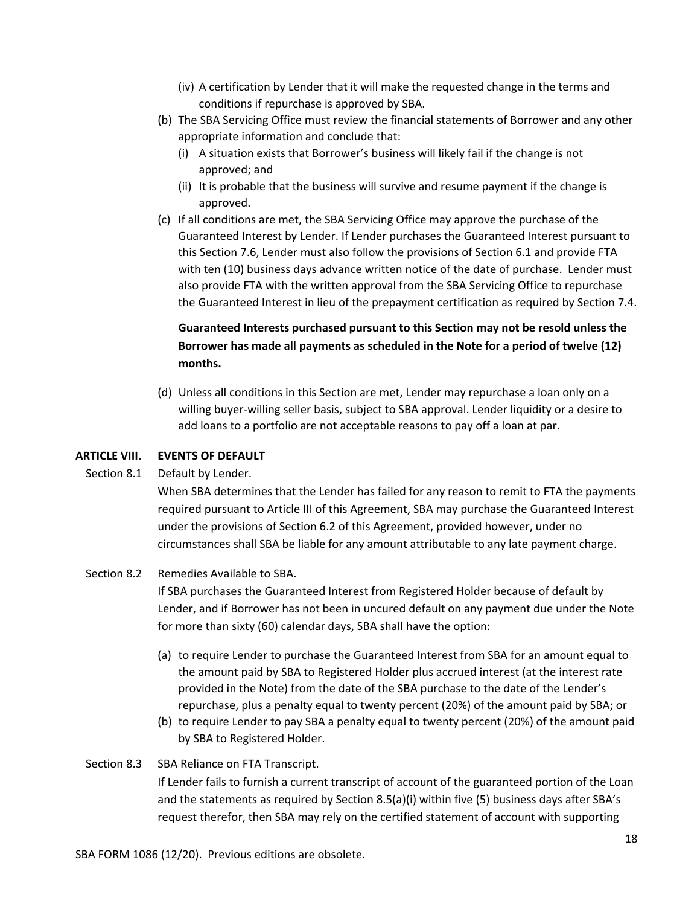- (iv) A certification by Lender that it will make the requested change in the terms and conditions if repurchase is approved by SBA.
- (b) The SBA Servicing Office must review the financial statements of Borrower and any other appropriate information and conclude that:
	- (i) A situation exists that Borrower's business will likely fail if the change is not approved; and
	- (ii) It is probable that the business will survive and resume payment if the change is approved.
- (c) If all conditions are met, the SBA Servicing Office may approve the purchase of the Guaranteed Interest by Lender. If Lender purchases the Guaranteed Interest pursuant to this Section 7.6, Lender must also follow the provisions of Section 6.1 and provide FTA with ten (10) business days advance written notice of the date of purchase. Lender must also provide FTA with the written approval from the SBA Servicing Office to repurchase the Guaranteed Interest in lieu of the prepayment certification as required by Section 7.4.

# **Guaranteed Interests purchased pursuant to this Section may not be resold unless the Borrower has made all payments as scheduled in the Note for a period of twelve (12) months.**

(d) Unless all conditions in this Section are met, Lender may repurchase a loan only on a willing buyer-willing seller basis, subject to SBA approval. Lender liquidity or a desire to add loans to a portfolio are not acceptable reasons to pay off a loan at par.

# **ARTICLE VIII. EVENTS OF DEFAULT**

# Section 8.1 Default by Lender.

When SBA determines that the Lender has failed for any reason to remit to FTA the payments required pursuant to Article III of this Agreement, SBA may purchase the Guaranteed Interest under the provisions of Section 6.2 of this Agreement, provided however, under no circumstances shall SBA be liable for any amount attributable to any late payment charge.

# Section 8.2 Remedies Available to SBA.

If SBA purchases the Guaranteed Interest from Registered Holder because of default by Lender, and if Borrower has not been in uncured default on any payment due under the Note for more than sixty (60) calendar days, SBA shall have the option:

- (a) to require Lender to purchase the Guaranteed Interest from SBA for an amount equal to the amount paid by SBA to Registered Holder plus accrued interest (at the interest rate provided in the Note) from the date of the SBA purchase to the date of the Lender's repurchase, plus a penalty equal to twenty percent (20%) of the amount paid by SBA; or
- (b) to require Lender to pay SBA a penalty equal to twenty percent (20%) of the amount paid by SBA to Registered Holder.

# Section 8.3 SBA Reliance on FTA Transcript.

If Lender fails to furnish a current transcript of account of the guaranteed portion of the Loan and the statements as required by Section 8.5(a)(i) within five (5) business days after SBA's request therefor, then SBA may rely on the certified statement of account with supporting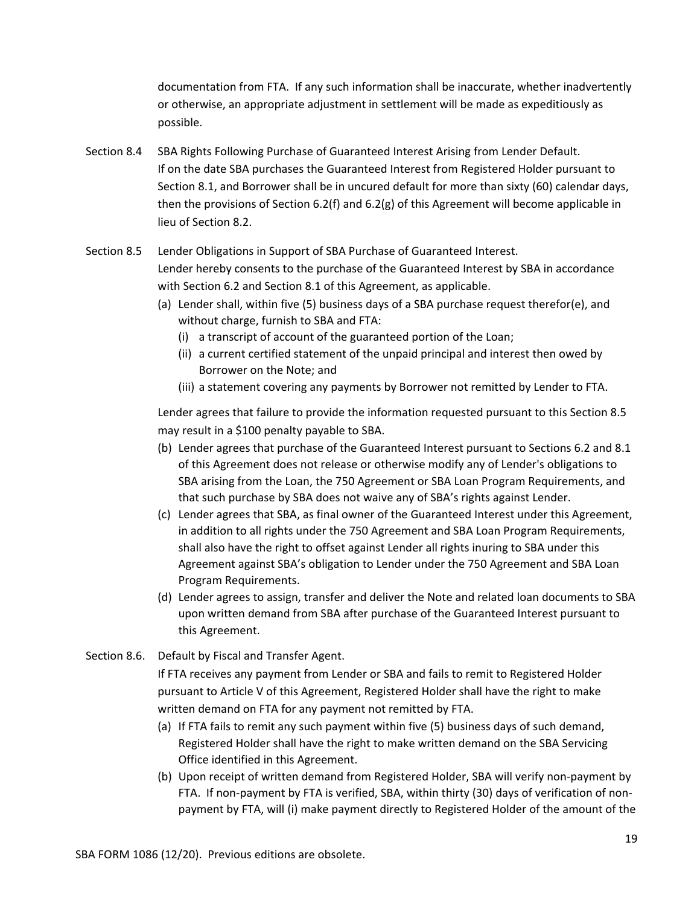documentation from FTA. If any such information shall be inaccurate, whether inadvertently or otherwise, an appropriate adjustment in settlement will be made as expeditiously as possible.

- Section 8.4 SBA Rights Following Purchase of Guaranteed Interest Arising from Lender Default. If on the date SBA purchases the Guaranteed Interest from Registered Holder pursuant to Section 8.1, and Borrower shall be in uncured default for more than sixty (60) calendar days, then the provisions of Section 6.2(f) and 6.2(g) of this Agreement will become applicable in lieu of Section 8.2.
- Section 8.5 Lender Obligations in Support of SBA Purchase of Guaranteed Interest. Lender hereby consents to the purchase of the Guaranteed Interest by SBA in accordance with Section 6.2 and Section 8.1 of this Agreement, as applicable.
	- (a) Lender shall, within five (5) business days of a SBA purchase request therefor(e), and without charge, furnish to SBA and FTA:
		- (i) a transcript of account of the guaranteed portion of the Loan;
		- (ii) a current certified statement of the unpaid principal and interest then owed by Borrower on the Note; and
		- (iii) a statement covering any payments by Borrower not remitted by Lender to FTA.

Lender agrees that failure to provide the information requested pursuant to this Section 8.5 may result in a \$100 penalty payable to SBA.

- (b) Lender agrees that purchase of the Guaranteed Interest pursuant to Sections 6.2 and 8.1 of this Agreement does not release or otherwise modify any of Lender's obligations to SBA arising from the Loan, the 750 Agreement or SBA Loan Program Requirements, and that such purchase by SBA does not waive any of SBA's rights against Lender.
- (c) Lender agrees that SBA, as final owner of the Guaranteed Interest under this Agreement, in addition to all rights under the 750 Agreement and SBA Loan Program Requirements, shall also have the right to offset against Lender all rights inuring to SBA under this Agreement against SBA's obligation to Lender under the 750 Agreement and SBA Loan Program Requirements.
- (d) Lender agrees to assign, transfer and deliver the Note and related loan documents to SBA upon written demand from SBA after purchase of the Guaranteed Interest pursuant to this Agreement.
- Section 8.6. Default by Fiscal and Transfer Agent.

If FTA receives any payment from Lender or SBA and fails to remit to Registered Holder pursuant to Article V of this Agreement, Registered Holder shall have the right to make written demand on FTA for any payment not remitted by FTA.

- (a) If FTA fails to remit any such payment within five (5) business days of such demand, Registered Holder shall have the right to make written demand on the SBA Servicing Office identified in this Agreement.
- (b) Upon receipt of written demand from Registered Holder, SBA will verify non-payment by FTA. If non-payment by FTA is verified, SBA, within thirty (30) days of verification of nonpayment by FTA, will (i) make payment directly to Registered Holder of the amount of the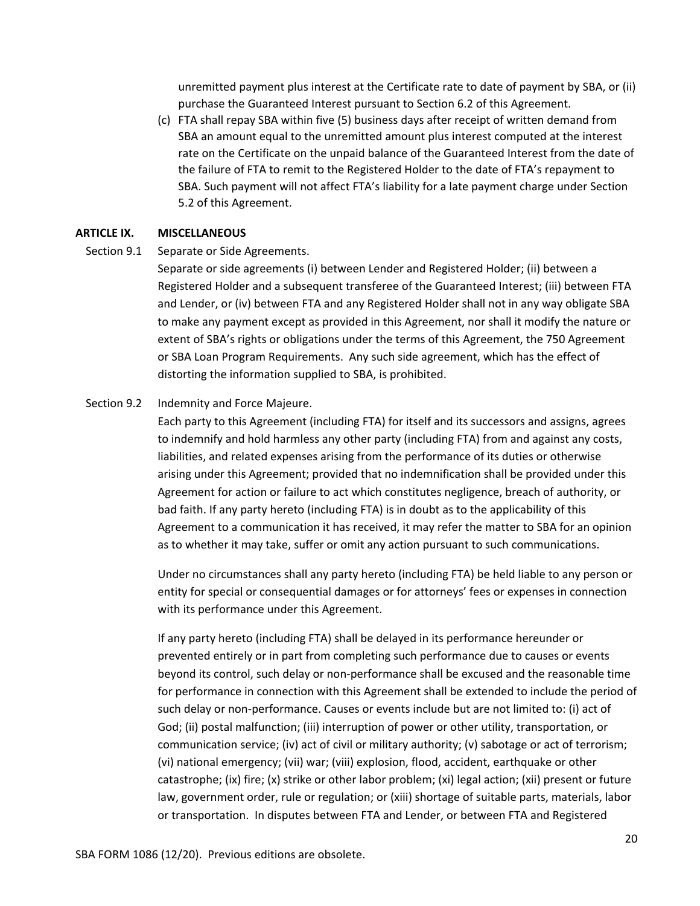unremitted payment plus interest at the Certificate rate to date of payment by SBA, or (ii) purchase the Guaranteed Interest pursuant to Section 6.2 of this Agreement.

(c) FTA shall repay SBA within five (5) business days after receipt of written demand from SBA an amount equal to the unremitted amount plus interest computed at the interest rate on the Certificate on the unpaid balance of the Guaranteed Interest from the date of the failure of FTA to remit to the Registered Holder to the date of FTA's repayment to SBA. Such payment will not affect FTA's liability for a late payment charge under Section 5.2 of this Agreement.

#### **ARTICLE IX. MISCELLANEOUS**

Section 9.1 Separate or Side Agreements.

Separate or side agreements (i) between Lender and Registered Holder; (ii) between a Registered Holder and a subsequent transferee of the Guaranteed Interest; (iii) between FTA and Lender, or (iv) between FTA and any Registered Holder shall not in any way obligate SBA to make any payment except as provided in this Agreement, nor shall it modify the nature or extent of SBA's rights or obligations under the terms of this Agreement, the 750 Agreement or SBA Loan Program Requirements. Any such side agreement, which has the effect of distorting the information supplied to SBA, is prohibited.

#### Section 9.2 Indemnity and Force Majeure.

Each party to this Agreement (including FTA) for itself and its successors and assigns, agrees to indemnify and hold harmless any other party (including FTA) from and against any costs, liabilities, and related expenses arising from the performance of its duties or otherwise arising under this Agreement; provided that no indemnification shall be provided under this Agreement for action or failure to act which constitutes negligence, breach of authority, or bad faith. If any party hereto (including FTA) is in doubt as to the applicability of this Agreement to a communication it has received, it may refer the matter to SBA for an opinion as to whether it may take, suffer or omit any action pursuant to such communications.

Under no circumstances shall any party hereto (including FTA) be held liable to any person or entity for special or consequential damages or for attorneys' fees or expenses in connection with its performance under this Agreement.

If any party hereto (including FTA) shall be delayed in its performance hereunder or prevented entirely or in part from completing such performance due to causes or events beyond its control, such delay or non-performance shall be excused and the reasonable time for performance in connection with this Agreement shall be extended to include the period of such delay or non-performance. Causes or events include but are not limited to: (i) act of God; (ii) postal malfunction; (iii) interruption of power or other utility, transportation, or communication service; (iv) act of civil or military authority; (v) sabotage or act of terrorism; (vi) national emergency; (vii) war; (viii) explosion, flood, accident, earthquake or other catastrophe; (ix) fire; (x) strike or other labor problem; (xi) legal action; (xii) present or future law, government order, rule or regulation; or (xiii) shortage of suitable parts, materials, labor or transportation. In disputes between FTA and Lender, or between FTA and Registered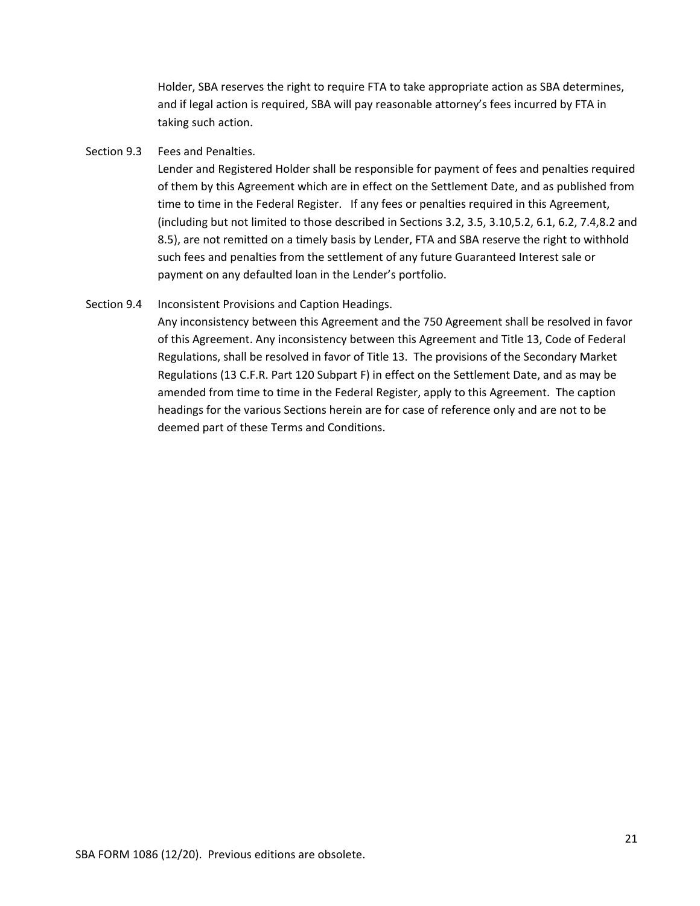Holder, SBA reserves the right to require FTA to take appropriate action as SBA determines, and if legal action is required, SBA will pay reasonable attorney's fees incurred by FTA in taking such action.

#### Section 9.3 Fees and Penalties.

Lender and Registered Holder shall be responsible for payment of fees and penalties required of them by this Agreement which are in effect on the Settlement Date, and as published from time to time in the Federal Register. If any fees or penalties required in this Agreement, (including but not limited to those described in Sections 3.2, 3.5, 3.10,5.2, 6.1, 6.2, 7.4,8.2 and 8.5), are not remitted on a timely basis by Lender, FTA and SBA reserve the right to withhold such fees and penalties from the settlement of any future Guaranteed Interest sale or payment on any defaulted loan in the Lender's portfolio.

#### Section 9.4 Inconsistent Provisions and Caption Headings.

Any inconsistency between this Agreement and the 750 Agreement shall be resolved in favor of this Agreement. Any inconsistency between this Agreement and Title 13, Code of Federal Regulations, shall be resolved in favor of Title 13. The provisions of the Secondary Market Regulations (13 C.F.R. Part 120 Subpart F) in effect on the Settlement Date, and as may be amended from time to time in the Federal Register, apply to this Agreement. The caption headings for the various Sections herein are for case of reference only and are not to be deemed part of these Terms and Conditions.